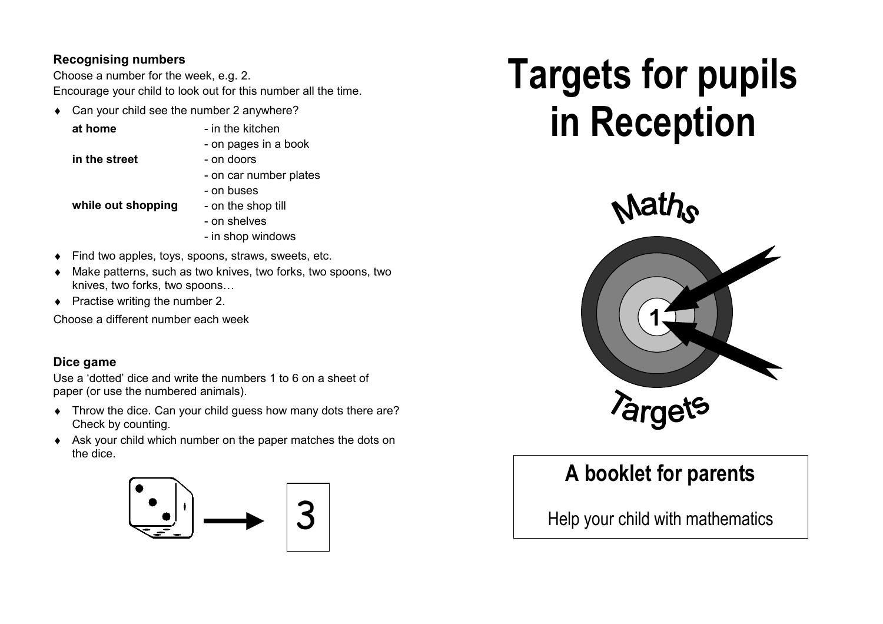#### **Recognising numbers**

Choose a number for the week, e.g. 2. Encourage your child to look out for this number all the time.

- ♦ Can your child see the number 2 anywhere?
	-
	- **at home**  $-$  in the kitchen
		- on pages in a book
	- **in the street** on doors
- - on car number plates
		- on buses

**while out shopping** - on the shop till

- on shelves
- in shop windows
- ♦ Find two apples, toys, spoons, straws, sweets, etc.
- Make patterns, such as two knives, two forks, two spoons, two knives, two forks, two spoons…
- $\leftrightarrow$  Practise writing the number 2.

Choose a different number each week

### **Dice game**

Use a 'dotted' dice and write the numbers 1 to 6 on a sheet of paper (or use the numbered animals).

- ♦ Throw the dice. Can your child guess how many dots there are? Check by counting.
- ♦ Ask your child which number on the paper matches the dots on the dice.



# **Targets for pupils in Reception**



# **A booklet for parents**

Help your child with mathematics